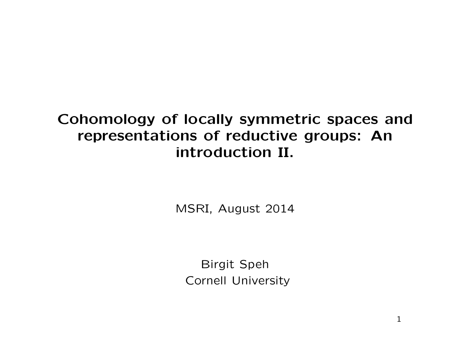# Cohomology of locally symmetric spaces and representations of reductive groups: An introduction II.

MSRI, August 2014

Birgit Speh Cornell University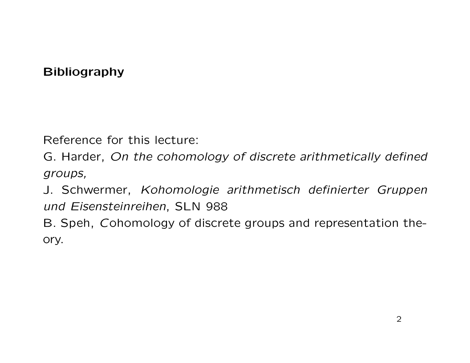## Bibliography

Reference for this lecture:

G. Harder, On the cohomology of discrete arithmetically defined groups,

J. Schwermer, Kohomologie arithmetisch definierter Gruppen und Eisensteinreihen, SLN 988

B. Speh, Cohomology of discrete groups and representation theory.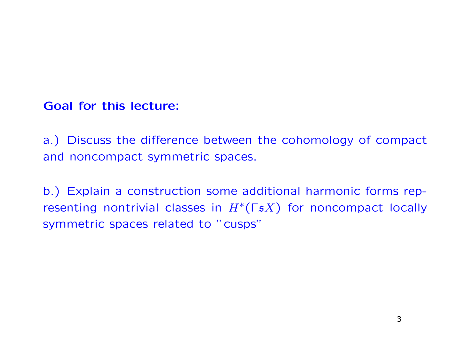#### Goal for this lecture:

a.) Discuss the difference between the cohomology of compact and noncompact symmetric spaces.

b.) Explain a construction some additional harmonic forms representing nontrivial classes in  $H^*(\Gamma \mathfrak{s} X)$  for noncompact locally symmetric spaces related to "cusps"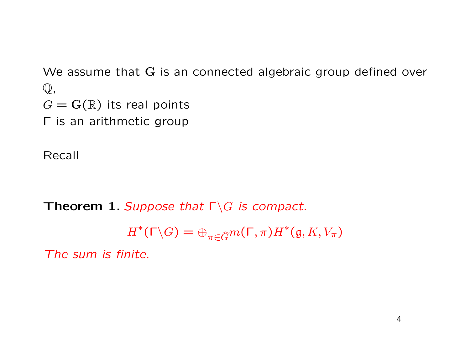We assume that G is an connected algebraic group defined over  $\mathbb Q$  ,  $G = \mathbf{G}(\mathbb{R})$  its real points Γ is an arithmetic group

Recall

Theorem 1. Suppose that  $\Gamma \backslash G$  is compact.

 $H^*(\Gamma \backslash G) = \bigoplus_{\pi \in \widehat{G}} m(\Gamma, \pi) H^*(\mathfrak{g}, K, V_{\pi})$ 

The sum is finite.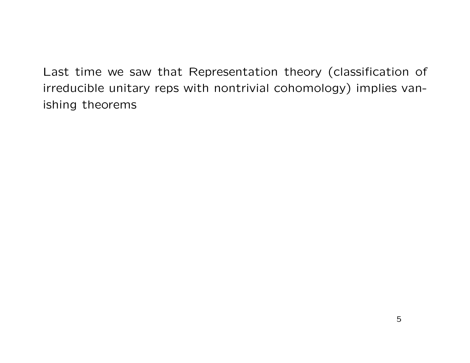Last time we saw that Representation theory (classification of irreducible unitary reps with nontrivial cohomology) implies vanishing theorems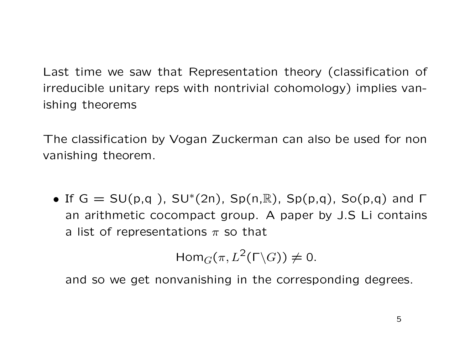Last time we saw that Representation theory (classification of irreducible unitary reps with nontrivial cohomology) implies vanishing theorems

The classification by Vogan Zuckerman can also be used for non vanishing theorem.

• If  $G = SU(p,q)$ ,  $SU^*(2n)$ ,  $Sp(n,\mathbb{R})$ ,  $Sp(p,q)$ ,  $So(p,q)$  and  $\Gamma$ an arithmetic cocompact group. A paper by J.S Li contains a list of representations  $\pi$  so that

Hom $_G(\pi, L^2(\Gamma \backslash G)) \neq 0$ .

and so we get nonvanishing in the corresponding degrees.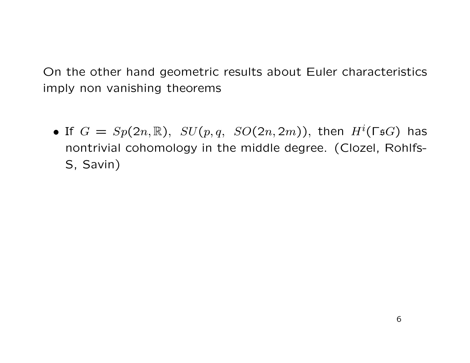On the other hand geometric results about Euler characteristics imply non vanishing theorems

• If  $G = Sp(2n, \mathbb{R}), SU(p, q, SO(2n, 2m)),$  then  $H^{i}(\Gamma \mathfrak{s} G)$  has nontrivial cohomology in the middle degree. (Clozel, Rohlfs-S, Savin)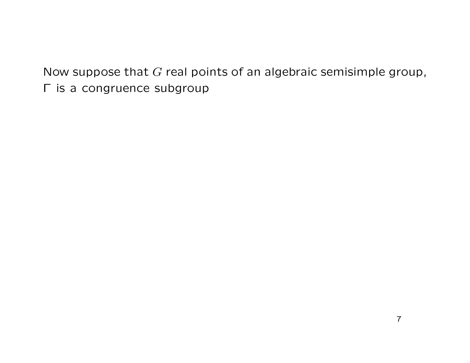Now suppose that  $G$  real points of an algebraic semisimple group, Γ is a congruence subgroup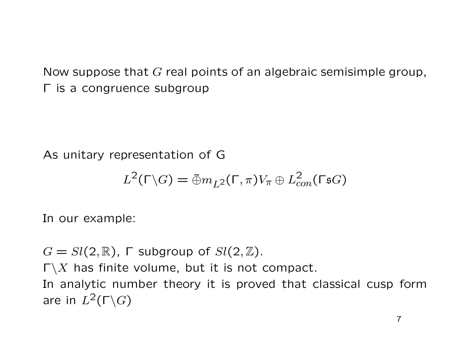Now suppose that  $G$  real points of an algebraic semisimple group, Γ is a congruence subgroup

As unitary representation of G

$$
L^2(\Gamma \backslash G) = \tilde{\oplus} m_{L^2}(\Gamma, \pi) V_{\pi} \oplus L^2_{con}(\Gamma \mathfrak{s} G)
$$

In our example:

 $G = Sl(2, \mathbb{R})$ ,  $\Gamma$  subgroup of  $Sl(2, \mathbb{Z})$ .  $\Gamma\backslash X$  has finite volume, but it is not compact. In analytic number theory it is proved that classical cusp form are in  $L^2(\Gamma \backslash G)$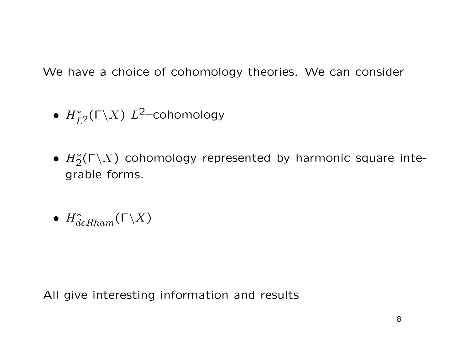We have a choice of cohomology theories. We can consider

- $H^*$  $L^2$ (Γ $\setminus$ X)  $L^2$ –cohomology
- $H_2^*(\Gamma \backslash X)$  cohomology represented by harmonic square integrable forms.
- $\bullet$   $H^*_{deRham}(\Gamma {\backslash} X)$

All give interesting information and results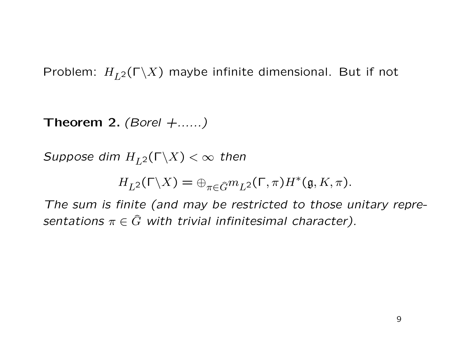Problem:  $H_{L^2}(\Gamma \backslash X)$  maybe infinite dimensional. But if not

Theorem 2.  $(Borel + \ldots)$ 

Suppose dim  $H_{L^2}(\Gamma \backslash X) < \infty$  then

$$
H_{L^2}(\Gamma \backslash X) = \bigoplus_{\pi \in \widehat{G}} m_{L^2}(\Gamma, \pi) H^*(\mathfrak{g}, K, \pi).
$$

The sum is finite (and may be restricted to those unitary representations  $\pi \in \widehat{G}$  with trivial infinitesimal character).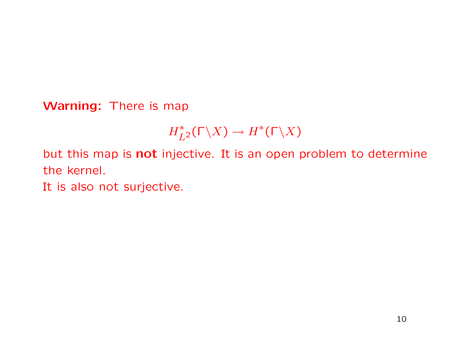Warning: There is map

$$
H_{L^2}^*(\Gamma \backslash X) \to H^*(\Gamma \backslash X)
$$

but this map is not injective. It is an open problem to determine the kernel.

It is also not surjective.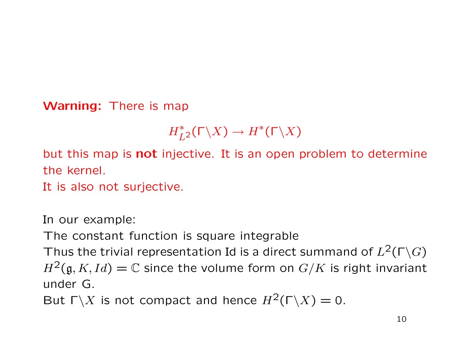Warning: There is map

$$
H_{L^2}^*(\Gamma \backslash X) \to H^*(\Gamma \backslash X)
$$

but this map is **not** injective. It is an open problem to determine the kernel.

It is also not surjective.

In our example:

The constant function is square integrable

Thus the trivial representation Id is a direct summand of  $L^2(\Gamma \backslash G)$  $H^2(\mathfrak{g}, K, Id) = \mathbb{C}$  since the volume form on  $G/K$  is right invariant under G.

But  $\Gamma \backslash X$  is not compact and hence  $H^2(\Gamma \backslash X) = 0$ .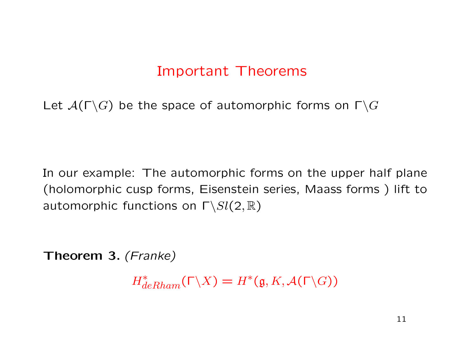## Important Theorems

Let  $\mathcal{A}(\Gamma \backslash G)$  be the space of automorphic forms on  $\Gamma \backslash G$ 

In our example: The automorphic forms on the upper half plane (holomorphic cusp forms, Eisenstein series, Maass forms ) lift to automorphic functions on  $\Gamma \backslash Sl(2, \mathbb{R})$ 

Theorem 3. (Franke)

 $H^*_{deRham}(\Gamma \backslash X) = H^*(\mathfrak{g}, K, \mathcal{A}(\Gamma \backslash G))$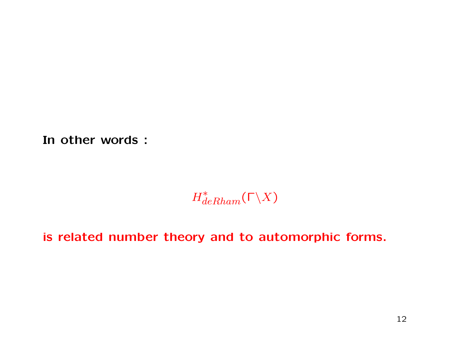In other words :

# $H^*_{deRham}(\overline{\Gamma}\backslash X)$

is related number theory and to automorphic forms.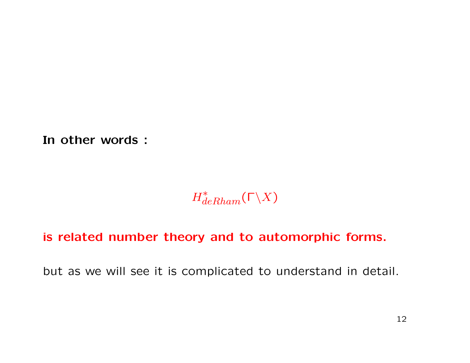In other words :

# $H^*_{deRham}(\overline{\Gamma}\backslash X)$

#### is related number theory and to automorphic forms.

but as we will see it is complicated to understand in detail.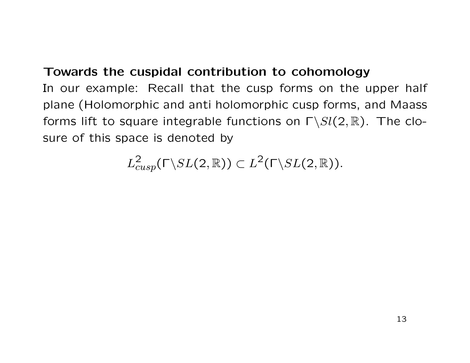#### Towards the cuspidal contribution to cohomology

In our example: Recall that the cusp forms on the upper half plane (Holomorphic and anti holomorphic cusp forms, and Maass forms lift to square integrable functions on  $\Gamma \backslash Sl(2, \mathbb{R})$ . The closure of this space is denoted by

$$
L^2_{cusp}(\Gamma \backslash SL(2,\mathbb{R})) \subset L^2(\Gamma \backslash SL(2,\mathbb{R})).
$$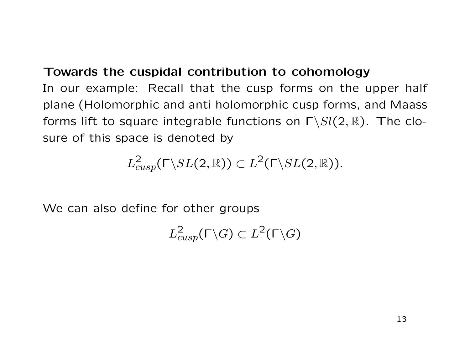#### Towards the cuspidal contribution to cohomology

In our example: Recall that the cusp forms on the upper half plane (Holomorphic and anti holomorphic cusp forms, and Maass forms lift to square integrable functions on  $\Gamma \backslash Sl(2, \mathbb{R})$ . The closure of this space is denoted by

$$
L^2_{cusp}(\Gamma \backslash SL(2,\mathbb{R})) \subset L^2(\Gamma \backslash SL(2,\mathbb{R})).
$$

We can also define for other groups

$$
L^2_{cusp}(\Gamma\backslash G)\subset L^2(\Gamma\backslash G)
$$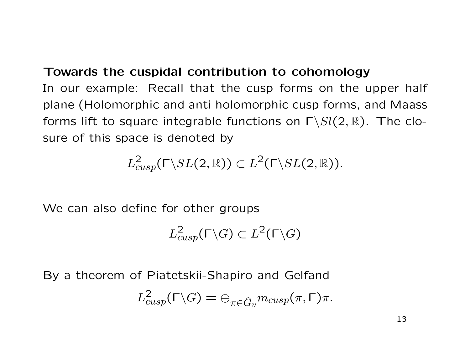#### Towards the cuspidal contribution to cohomology

In our example: Recall that the cusp forms on the upper half plane (Holomorphic and anti holomorphic cusp forms, and Maass forms lift to square integrable functions on  $\Gamma \backslash Sl(2, \mathbb{R})$ . The closure of this space is denoted by

$$
L^2_{cusp}(\Gamma \backslash SL(2,\mathbb{R})) \subset L^2(\Gamma \backslash SL(2,\mathbb{R})).
$$

We can also define for other groups

$$
L^2_{cusp}(\Gamma\backslash G)\subset L^2(\Gamma\backslash G)
$$

By a theorem of Piatetskii-Shapiro and Gelfand

$$
L^2_{cusp}(\Gamma \backslash G) = \oplus_{\pi \in \widehat{G}_u} m_{cusp}(\pi, \Gamma) \pi.
$$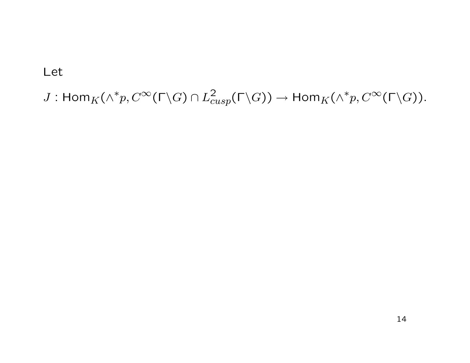Let

 $J: \mathsf{Hom}_K(\wedge^*p, C^\infty(\mathsf{\Gamma}\backslash G)\cap L^2_{cusp}(\mathsf{\Gamma}\backslash G))\to \mathsf{Hom}_K(\wedge^*p, C^\infty(\mathsf{\Gamma}\backslash G)).$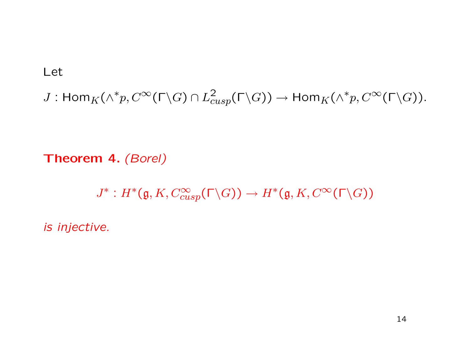Let

 $J: \mathsf{Hom}_K(\wedge^*p, C^\infty(\mathsf{\Gamma}\backslash G)\cap L^2_{cusp}(\mathsf{\Gamma}\backslash G))\to \mathsf{Hom}_K(\wedge^*p, C^\infty(\mathsf{\Gamma}\backslash G)).$ 

Theorem 4. (Borel)

 $J^*: H^*(\mathfrak{g}, K, C_{cusp}^\infty(\Gamma\backslash G))\to H^*(\mathfrak{g}, K, C^\infty(\Gamma\backslash G))$ 

is injective.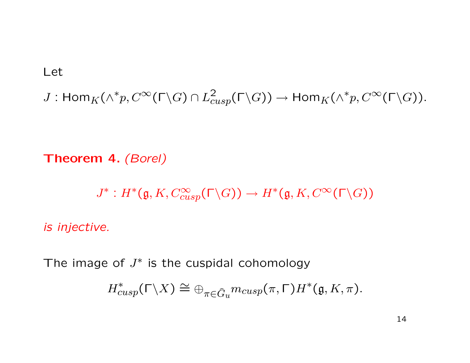Let

 $J: \mathsf{Hom}_K(\wedge^*p, C^\infty(\mathsf{\Gamma}\backslash G)\cap L^2_{cusp}(\mathsf{\Gamma}\backslash G))\to \mathsf{Hom}_K(\wedge^*p, C^\infty(\mathsf{\Gamma}\backslash G)).$ 

Theorem 4. (Borel)

 $J^*: H^*(\mathfrak{g}, K, C_{cusp}^\infty(\Gamma\backslash G))\to H^*(\mathfrak{g}, K, C^\infty(\Gamma\backslash G))$ 

is injective.

The image of  $J^*$  is the cuspidal cohomology

$$
H^*_{cusp}(\Gamma \backslash X) \cong \bigoplus_{\pi \in \widehat{G}_u} m_{cusp}(\pi, \Gamma) H^*(\mathfrak{g}, K, \pi).
$$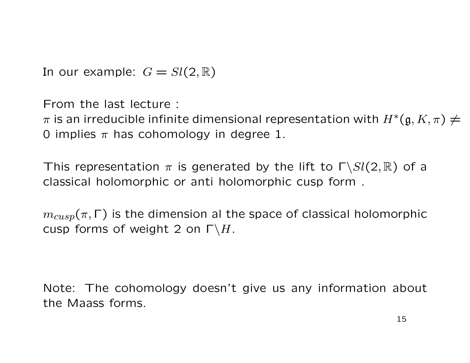In our example:  $G = Sl(2, \mathbb{R})$ 

From the last lecture :

 $\pi$  is an irreducible infinite dimensional representation with  $H^*(\mathfrak{g}, K, \pi) \neq \mathfrak{g}$ 0 implies  $\pi$  has cohomology in degree 1.

This representation  $\pi$  is generated by the lift to  $\Gamma\backslash Sl(2,\mathbb{R})$  of a classical holomorphic or anti holomorphic cusp form .

 $m_{cusp}(\pi,\Gamma)$  is the dimension al the space of classical holomorphic cusp forms of weight 2 on  $\Gamma \backslash H$ .

Note: The cohomology doesn't give us any information about the Maass forms.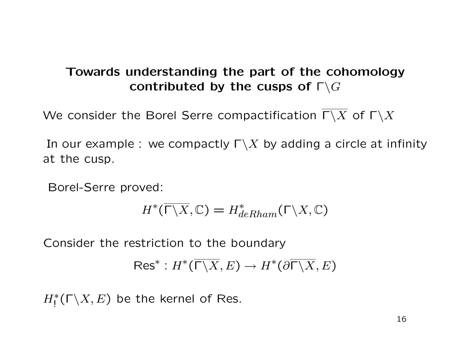## Towards understanding the part of the cohomology contributed by the cusps of  $\Gamma \backslash G$

We consider the Borel Serre compactification  $\Gamma \backslash X$  of  $\Gamma \backslash X$ 

In our example : we compactly  $\Gamma\backslash X$  by adding a circle at infinity at the cusp.

Borel-Serre proved:

$$
H^*(\overline{\Gamma \backslash X}, \mathbb{C}) = H^*_{deRham}(\Gamma \backslash X, \mathbb{C})
$$

Consider the restriction to the boundary

$$
\text{Res}^*: H^*(\overline{\Gamma \backslash X}, E) \to H^*(\partial \overline{\Gamma \backslash X}, E)
$$

 $H^*_!$ ( $\Gamma \backslash X, E$ ) be the kernel of Res.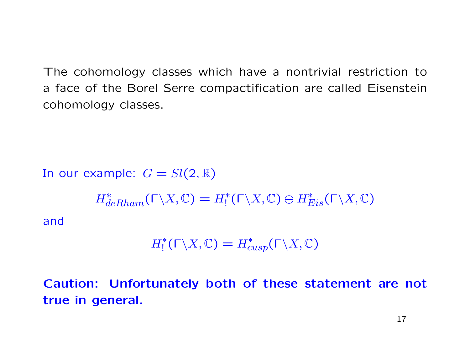The cohomology classes which have a nontrivial restriction to a face of the Borel Serre compactification are called Eisenstein cohomology classes.

In our example:  $G = Sl(2, \mathbb{R})$  $H^*_{deRham}(\Gamma \backslash X, \mathbb{C}) = H^*_{!}(\Gamma \backslash X, \mathbb{C}) \oplus H^*_{Eis}(\Gamma \backslash X, \mathbb{C})$ and

$$
H^*_! (\Gamma \backslash X, \mathbb{C}) = H^*_{cusp} (\Gamma \backslash X, \mathbb{C})
$$

Caution: Unfortunately both of these statement are not true in general.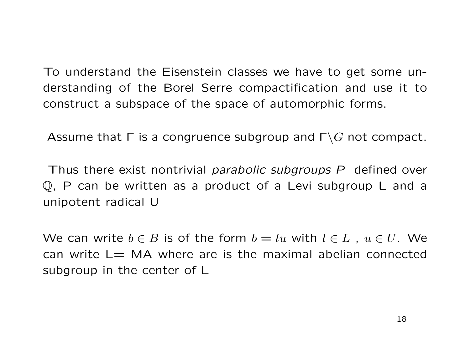To understand the Eisenstein classes we have to get some understanding of the Borel Serre compactification and use it to construct a subspace of the space of automorphic forms.

Assume that  $\Gamma$  is a congruence subgroup and  $\Gamma \backslash G$  not compact.

Thus there exist nontrivial *parabolic subgroups* P defined over Q, P can be written as a product of a Levi subgroup L and a unipotent radical U

We can write  $b \in B$  is of the form  $b = lu$  with  $l \in L$ ,  $u \in U$ . We can write  $L= MA$  where are is the maximal abelian connected subgroup in the center of L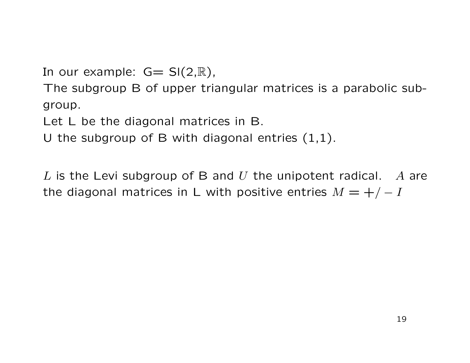In our example:  $G = SI(2,\mathbb{R}),$ 

The subgroup B of upper triangular matrices is a parabolic subgroup.

Let L be the diagonal matrices in B.

U the subgroup of B with diagonal entries  $(1,1)$ .

L is the Levi subgroup of B and U the unipotent radical.  $A$  are the diagonal matrices in L with positive entries  $M = +/-I$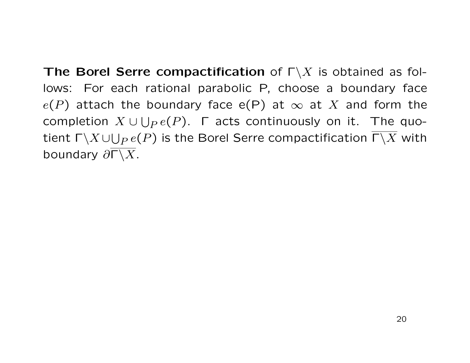The Borel Serre compactification of  $\Gamma\backslash X$  is obtained as follows: For each rational parabolic P, choose a boundary face  $e(P)$  attach the boundary face  $e(P)$  at  $\infty$  at X and form the completion  $X \cup \bigcup_P e(P)$ .  $\Gamma$  acts continuously on it. The quotient  $\Gamma\backslash X\cup \bigcup_Pe(P)$  is the Borel Serre compactification  $\Gamma\backslash X$  with boundary  $\partial \overline{\Gamma \backslash X}$ .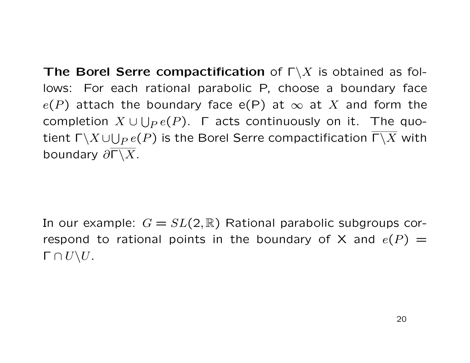The Borel Serre compactification of  $\Gamma\backslash X$  is obtained as follows: For each rational parabolic P, choose a boundary face  $e(P)$  attach the boundary face  $e(P)$  at  $\infty$  at X and form the completion  $X \cup \bigcup_P e(P)$ .  $\Gamma$  acts continuously on it. The quotient  $\Gamma\backslash X\cup \bigcup_Pe(P)$  is the Borel Serre compactification  $\Gamma\backslash X$  with boundary  $\partial \overline{\Gamma \backslash X}$ .

In our example:  $G = SL(2, \mathbb{R})$  Rational parabolic subgroups correspond to rational points in the boundary of X and  $e(P)$  =  $Γ ∩ U \ U.$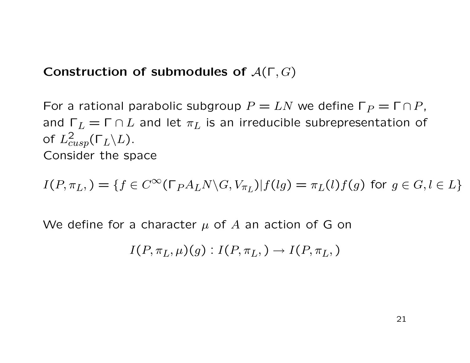Construction of submodules of  $A(\Gamma, G)$ 

For a rational parabolic subgroup  $P = LN$  we define  $\Gamma_P = \Gamma \cap P$ , and  $\Gamma_L = \Gamma \cap L$  and let  $\pi_L$  is an irreducible subrepresentation of of  $L^2_{cusp}(\Gamma_L\backslash L)$ . Consider the space

 $I(P,\pi_L,) = \{f \in C^\infty(\Gamma_P A_L N \backslash G, V_{\pi_L}) | f(lg) = \pi_L(l) f(g)$  for  $g \in G, l \in L\}$ 

We define for a character  $\mu$  of A an action of G on

 $I(P, \pi_L, \mu)(q) : I(P, \pi_L, ) \to I(P, \pi_L, )$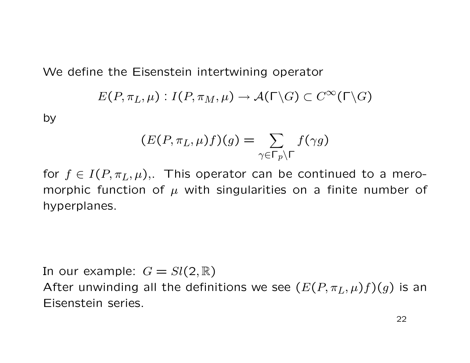We define the Eisenstein intertwining operator

$$
E(P,\pi_L,\mu): I(P,\pi_M,\mu) \to \mathcal{A}(\Gamma \backslash G) \subset C^\infty(\Gamma \backslash G)
$$

by

$$
(E(P, \pi_L, \mu)f)(g) = \sum_{\gamma \in \Gamma_p \backslash \Gamma} f(\gamma g)
$$

for  $f \in I(P, \pi_L, \mu)$ ,. This operator can be continued to a meromorphic function of  $\mu$  with singularities on a finite number of hyperplanes.

In our example:  $G = Sl(2, \mathbb{R})$ 

After unwinding all the definitions we see  $(E(P, \pi_L, \mu) f)(g)$  is an Eisenstein series.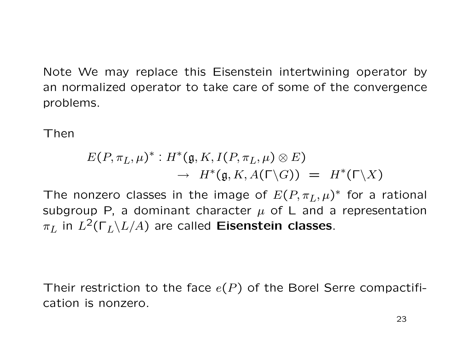Note We may replace this Eisenstein intertwining operator by an normalized operator to take care of some of the convergence problems.

Then

$$
E(P, \pi_L, \mu)^* : H^*(\mathfrak{g}, K, I(P, \pi_L, \mu) \otimes E) \\
\rightarrow H^*(\mathfrak{g}, K, A(\Gamma \backslash G)) = H^*(\Gamma \backslash X)
$$

The nonzero classes in the image of  $E(P, \pi_L, \mu)^*$  for a rational subgroup P, a dominant character  $\mu$  of L and a representation  $\pi_L$  in  $L^2(\Gamma_L\backslash L/A)$  are called Eisenstein classes.

Their restriction to the face  $e(P)$  of the Borel Serre compactification is nonzero.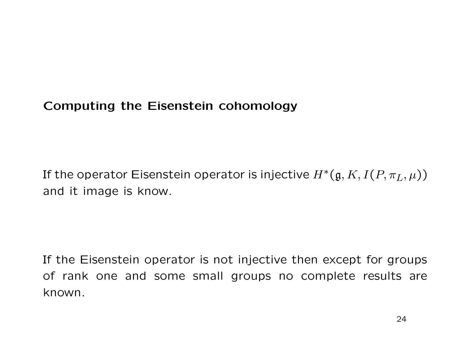### Computing the Eisenstein cohomology

If the operator Eisenstein operator is injective  $H^*(\mathfrak{g}, K, I(P, \pi_L, \mu))$ and it image is know.

If the Eisenstein operator is not injective then except for groups of rank one and some small groups no complete results are known.